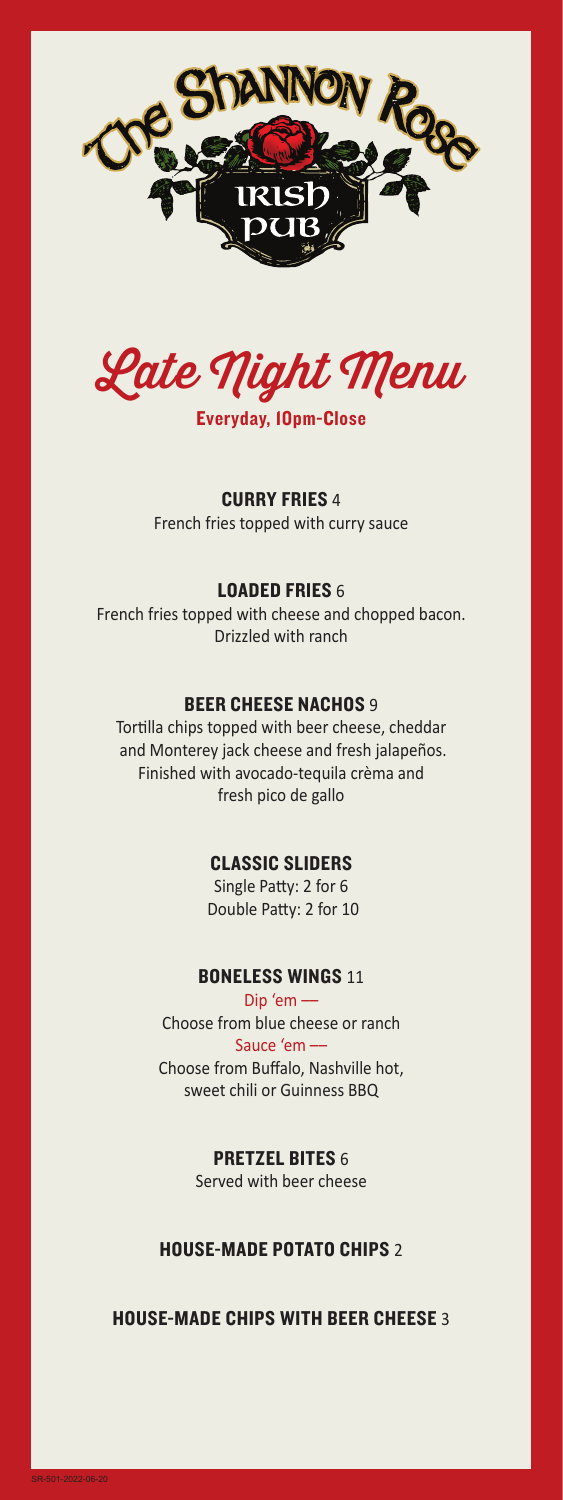



Everyday, 10pm-Close

### CURRY FRIES 4

French fries topped with curry sauce

### LOADED FRIES 6

French fries topped with cheese and chopped bacon. Drizzled with ranch

### **BEER CHEESE NACHOS 9**

Tortilla chips topped with beer cheese, cheddar and Monterey jack cheese and fresh jalapeños. Finished with avocado-tequila crèma and fresh pico de gallo

## CLASSIC SLIDERS

Single Patty: 2 for 6 Double Patty: 2 for 10

### BONELESS WINGS 11

Dip 'em –– Choose from blue cheese or ranch Sauce 'em –– Choose from Buffalo, Nashville hot, sweet chili or Guinness BBQ

### PRETZEL BITES 6

Served with beer cheese

### HOUSE-MADE POTATO CHIPS 2

## HOUSE-MADE CHIPS WITH BEER CHEESE 3